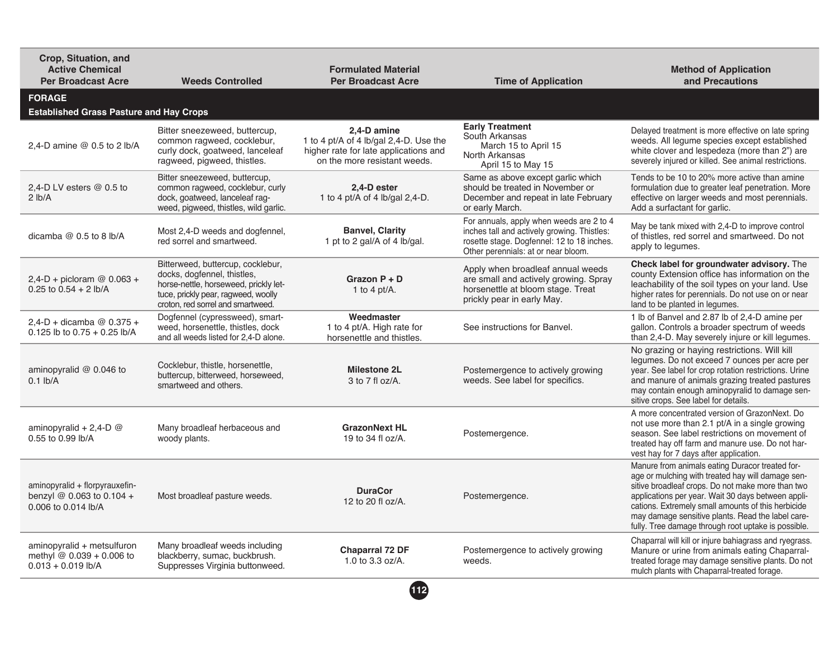| Crop, Situation, and<br><b>Active Chemical</b><br><b>Per Broadcast Acre</b>          | <b>Weeds Controlled</b>                                                                                                                                                               | <b>Formulated Material</b><br><b>Per Broadcast Acre</b>                                                                        | <b>Time of Application</b>                                                                                                                                                   | <b>Method of Application</b><br>and Precautions                                                                                                                                                                                                                                                                                                                                   |
|--------------------------------------------------------------------------------------|---------------------------------------------------------------------------------------------------------------------------------------------------------------------------------------|--------------------------------------------------------------------------------------------------------------------------------|------------------------------------------------------------------------------------------------------------------------------------------------------------------------------|-----------------------------------------------------------------------------------------------------------------------------------------------------------------------------------------------------------------------------------------------------------------------------------------------------------------------------------------------------------------------------------|
| <b>FORAGE</b><br><b>Established Grass Pasture and Hay Crops</b>                      |                                                                                                                                                                                       |                                                                                                                                |                                                                                                                                                                              |                                                                                                                                                                                                                                                                                                                                                                                   |
| 2,4-D amine @ 0.5 to 2 lb/A                                                          | Bitter sneezeweed, buttercup,<br>common ragweed, cocklebur,<br>curly dock, goatweed, lanceleaf<br>ragweed, pigweed, thistles.                                                         | 2.4-D amine<br>1 to 4 pt/A of 4 lb/gal 2,4-D. Use the<br>higher rate for late applications and<br>on the more resistant weeds. | <b>Early Treatment</b><br>South Arkansas<br>March 15 to April 15<br>North Arkansas<br>April 15 to May 15                                                                     | Delayed treatment is more effective on late spring<br>weeds. All legume species except established<br>white clover and lespedeza (more than 2") are<br>severely injured or killed. See animal restrictions.                                                                                                                                                                       |
| 2.4-D LV esters $@0.5$ to<br>2 lb/A                                                  | Bitter sneezeweed, buttercup,<br>common ragweed, cocklebur, curly<br>dock, goatweed, lanceleaf rag-<br>weed, pigweed, thistles, wild garlic.                                          | 2.4-D ester<br>1 to 4 pt/A of 4 lb/gal 2,4-D.                                                                                  | Same as above except garlic which<br>should be treated in November or<br>December and repeat in late February<br>or early March.                                             | Tends to be 10 to 20% more active than amine<br>formulation due to greater leaf penetration. More<br>effective on larger weeds and most perennials.<br>Add a surfactant for garlic.                                                                                                                                                                                               |
| dicamba $@$ 0.5 to 8 lb/A                                                            | Most 2,4-D weeds and dogfennel,<br>red sorrel and smartweed.                                                                                                                          | <b>Banvel, Clarity</b><br>1 pt to 2 gal/A of 4 lb/gal.                                                                         | For annuals, apply when weeds are 2 to 4<br>inches tall and actively growing. Thistles:<br>rosette stage. Dogfennel: 12 to 18 inches.<br>Other perennials: at or near bloom. | May be tank mixed with 2,4-D to improve control<br>of thistles, red sorrel and smartweed. Do not<br>apply to legumes.                                                                                                                                                                                                                                                             |
| 2,4-D + picloram $@$ 0.063 +<br>0.25 to $0.54 + 2$ lb/A                              | Bitterweed, buttercup, cocklebur,<br>docks, dogfennel, thistles,<br>horse-nettle, horseweed, prickly let-<br>tuce, prickly pear, ragweed, woolly<br>croton, red sorrel and smartweed. | Grazon $P + D$<br>1 to 4 pt/A.                                                                                                 | Apply when broadleaf annual weeds<br>are small and actively growing. Spray<br>horsenettle at bloom stage. Treat<br>prickly pear in early May.                                | Check label for groundwater advisory. The<br>county Extension office has information on the<br>leachability of the soil types on your land. Use<br>higher rates for perennials. Do not use on or near<br>land to be planted in legumes.                                                                                                                                           |
| 2,4-D + dicamba @ $0.375 +$<br>0.125 lb to $0.75 + 0.25$ lb/A                        | Dogfennel (cypressweed), smart-<br>weed, horsenettle, thistles, dock<br>and all weeds listed for 2,4-D alone.                                                                         | Weedmaster<br>1 to 4 pt/A. High rate for<br>horsenettle and thistles.                                                          | See instructions for Banvel.                                                                                                                                                 | 1 lb of Banvel and 2.87 lb of 2,4-D amine per<br>gallon. Controls a broader spectrum of weeds<br>than 2,4-D. May severely injure or kill legumes.                                                                                                                                                                                                                                 |
| aminopyralid $@$ 0.046 to<br>$0.1$ lb/A                                              | Cocklebur, thistle, horsenettle,<br>buttercup, bitterweed, horseweed,<br>smartweed and others.                                                                                        | <b>Milestone 2L</b><br>3 to 7 fl oz/A.                                                                                         | Postemergence to actively growing<br>weeds. See label for specifics.                                                                                                         | No grazing or haying restrictions. Will kill<br>legumes. Do not exceed 7 ounces per acre per<br>year. See label for crop rotation restrictions. Urine<br>and manure of animals grazing treated pastures<br>may contain enough aminopyralid to damage sen-<br>sitive crops. See label for details.                                                                                 |
| aminopyralid + $2,4$ -D @<br>0.55 to 0.99 lb/A                                       | Many broadleaf herbaceous and<br>woody plants.                                                                                                                                        | <b>GrazonNext HL</b><br>19 to 34 fl oz/A.                                                                                      | Postemergence.                                                                                                                                                               | A more concentrated version of GrazonNext. Do<br>not use more than 2.1 pt/A in a single growing<br>season. See label restrictions on movement of<br>treated hay off farm and manure use. Do not har-<br>vest hay for 7 days after application.                                                                                                                                    |
| aminopyralid + florpyrauxefin-<br>benzyl @ 0.063 to 0.104 +<br>0.006 to 0.014 lb/A   | Most broadleaf pasture weeds.                                                                                                                                                         | <b>DuraCor</b><br>12 to 20 fl oz/A.                                                                                            | Postemergence.                                                                                                                                                               | Manure from animals eating Duracor treated for-<br>age or mulching with treated hay will damage sen-<br>sitive broadleaf crops. Do not make more than two<br>applications per year. Wait 30 days between appli-<br>cations. Extremely small amounts of this herbicide<br>may damage sensitive plants. Read the label care-<br>fully. Tree damage through root uptake is possible. |
| $aminopy$ ralid + metsulfuron<br>methyl $@ 0.039 + 0.006$ to<br>$0.013 + 0.019$ lb/A | Many broadleaf weeds including<br>blackberry, sumac, buckbrush.<br>Suppresses Virginia buttonweed.                                                                                    | Chaparral 72 DF<br>1.0 to 3.3 oz/A.                                                                                            | Postemergence to actively growing<br>weeds.                                                                                                                                  | Chaparral will kill or injure bahiagrass and ryegrass.<br>Manure or urine from animals eating Chaparral-<br>treated forage may damage sensitive plants. Do not<br>mulch plants with Chaparral-treated forage.                                                                                                                                                                     |
|                                                                                      |                                                                                                                                                                                       | 112                                                                                                                            |                                                                                                                                                                              |                                                                                                                                                                                                                                                                                                                                                                                   |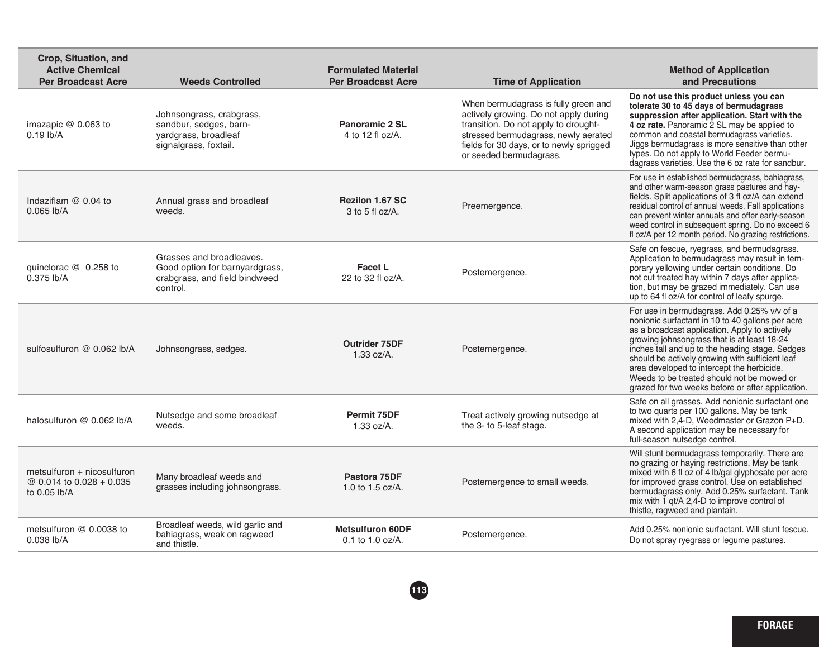| Crop, Situation, and<br><b>Active Chemical</b><br><b>Per Broadcast Acre</b> | <b>Weeds Controlled</b>                                                                                 | <b>Formulated Material</b><br><b>Per Broadcast Acre</b> | <b>Time of Application</b>                                                                                                                                                                                                           | <b>Method of Application</b><br>and Precautions                                                                                                                                                                                                                                                                                                                                                                                                        |
|-----------------------------------------------------------------------------|---------------------------------------------------------------------------------------------------------|---------------------------------------------------------|--------------------------------------------------------------------------------------------------------------------------------------------------------------------------------------------------------------------------------------|--------------------------------------------------------------------------------------------------------------------------------------------------------------------------------------------------------------------------------------------------------------------------------------------------------------------------------------------------------------------------------------------------------------------------------------------------------|
| imazapic $@0.063$ to<br>$0.19$ lb/A                                         | Johnsongrass, crabgrass,<br>sandbur, sedges, barn-<br>yardgrass, broadleaf<br>signalgrass, foxtail.     | Panoramic 2 SL<br>4 to 12 fl oz/A.                      | When bermudagrass is fully green and<br>actively growing. Do not apply during<br>transition. Do not apply to drought-<br>stressed bermudagrass, newly aerated<br>fields for 30 days, or to newly sprigged<br>or seeded bermudagrass. | Do not use this product unless you can<br>tolerate 30 to 45 days of bermudagrass<br>suppression after application. Start with the<br>4 oz rate. Panoramic 2 SL may be applied to<br>common and coastal bermudagrass varieties.<br>Jiggs bermudagrass is more sensitive than other<br>types. Do not apply to World Feeder bermu-<br>dagrass varieties. Use the 6 oz rate for sandbur.                                                                   |
| Indaziflam $@$ 0.04 to<br>$0.065$ lb/A                                      | Annual grass and broadleaf<br>weeds.                                                                    | <b>Rezilon 1.67 SC</b><br>$3$ to 5 fl oz/A.             | Preemergence.                                                                                                                                                                                                                        | For use in established bermudagrass, bahiagrass,<br>and other warm-season grass pastures and hay-<br>fields. Split applications of 3 fl oz/A can extend<br>residual control of annual weeds. Fall applications<br>can prevent winter annuals and offer early-season<br>weed control in subsequent spring. Do no exceed 6<br>fl oz/A per 12 month period. No grazing restrictions.                                                                      |
| quinclorac @ 0.258 to<br>0.375 lb/A                                         | Grasses and broadleaves.<br>Good option for barnyardgrass,<br>crabgrass, and field bindweed<br>control. | <b>Facet L</b><br>22 to 32 fl oz/A.                     | Postemergence.                                                                                                                                                                                                                       | Safe on fescue, ryegrass, and bermudagrass.<br>Application to bermudagrass may result in tem-<br>porary yellowing under certain conditions. Do<br>not cut treated hay within 7 days after applica-<br>tion, but may be grazed immediately. Can use<br>up to 64 fl oz/A for control of leafy spurge.                                                                                                                                                    |
| sulfosulfuron @ 0.062 lb/A                                                  | Johnsongrass, sedges.                                                                                   | Outrider 75DF<br>$1.33$ oz/A.                           | Postemergence.                                                                                                                                                                                                                       | For use in bermudagrass. Add 0.25% v/v of a<br>nonionic surfactant in 10 to 40 gallons per acre<br>as a broadcast application. Apply to actively<br>growing johnsongrass that is at least 18-24<br>inches tall and up to the heading stage. Sedges<br>should be actively growing with sufficient leaf<br>area developed to intercept the herbicide.<br>Weeds to be treated should not be mowed or<br>grazed for two weeks before or after application. |
| halosulfuron @ 0.062 lb/A                                                   | Nutsedge and some broadleaf<br>weeds.                                                                   | <b>Permit 75DF</b><br>1.33 oz/A.                        | Treat actively growing nutsedge at<br>the 3- to 5-leaf stage.                                                                                                                                                                        | Safe on all grasses. Add nonionic surfactant one<br>to two quarts per 100 gallons. May be tank<br>mixed with 2,4-D, Weedmaster or Grazon P+D.<br>A second application may be necessary for<br>full-season nutsedge control.                                                                                                                                                                                                                            |
| $metsulfuron + nicosulfuron$<br>@ 0.014 to 0.028 + 0.035<br>to 0.05 lb/A    | Many broadleaf weeds and<br>grasses including johnsongrass.                                             | Pastora 75DF<br>1.0 to 1.5 oz/A.                        | Postemergence to small weeds.                                                                                                                                                                                                        | Will stunt bermudagrass temporarily. There are<br>no grazing or haying restrictions. May be tank<br>mixed with 6 fl oz of 4 lb/gal glyphosate per acre<br>for improved grass control. Use on established<br>bermudagrass only. Add 0.25% surfactant. Tank<br>mix with 1 qt/A 2,4-D to improve control of<br>thistle, ragweed and plantain.                                                                                                             |
| metsulfuron @ 0.0038 to<br>$0.038$ lb/A                                     | Broadleaf weeds, wild garlic and<br>bahiagrass, weak on ragweed<br>and thistle.                         | <b>Metsulfuron 60DF</b><br>$0.1$ to $1.0$ oz/A.         | Postemergence.                                                                                                                                                                                                                       | Add 0.25% nonionic surfactant. Will stunt fescue.<br>Do not spray ryegrass or legume pastures.                                                                                                                                                                                                                                                                                                                                                         |